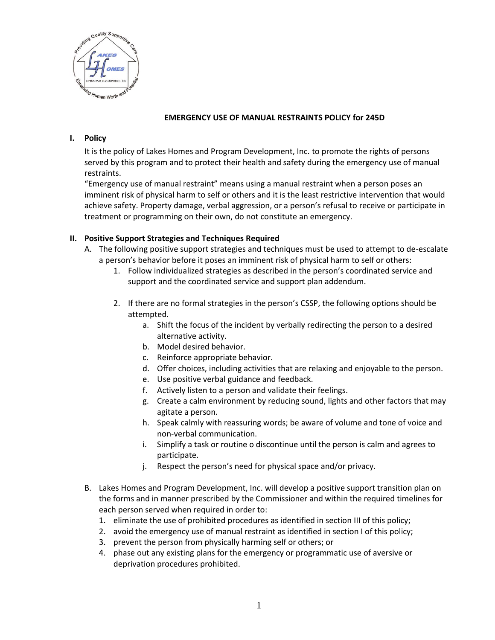

### **EMERGENCY USE OF MANUAL RESTRAINTS POLICY for 245D**

#### **I. Policy**

It is the policy of Lakes Homes and Program Development, Inc. to promote the rights of persons served by this program and to protect their health and safety during the emergency use of manual restraints.

"Emergency use of manual restraint" means using a manual restraint when a person poses an imminent risk of physical harm to self or others and it is the least restrictive intervention that would achieve safety. Property damage, verbal aggression, or a person's refusal to receive or participate in treatment or programming on their own, do not constitute an emergency.

### **II. Positive Support Strategies and Techniques Required**

- A. The following positive support strategies and techniques must be used to attempt to de-escalate a person's behavior before it poses an imminent risk of physical harm to self or others:
	- 1. Follow individualized strategies as described in the person's coordinated service and support and the coordinated service and support plan addendum.
	- 2. If there are no formal strategies in the person's CSSP, the following options should be attempted.
		- a. Shift the focus of the incident by verbally redirecting the person to a desired alternative activity.
		- b. Model desired behavior.
		- c. Reinforce appropriate behavior.
		- d. Offer choices, including activities that are relaxing and enjoyable to the person.
		- e. Use positive verbal guidance and feedback.
		- f. Actively listen to a person and validate their feelings.
		- g. Create a calm environment by reducing sound, lights and other factors that may agitate a person.
		- h. Speak calmly with reassuring words; be aware of volume and tone of voice and non-verbal communication.
		- i. Simplify a task or routine o discontinue until the person is calm and agrees to participate.
		- j. Respect the person's need for physical space and/or privacy.
- B. Lakes Homes and Program Development, Inc. will develop a positive support transition plan on the forms and in manner prescribed by the Commissioner and within the required timelines for each person served when required in order to:
	- 1. eliminate the use of prohibited procedures as identified in section III of this policy;
	- 2. avoid the emergency use of manual restraint as identified in section I of this policy;
	- 3. prevent the person from physically harming self or others; or
	- 4. phase out any existing plans for the emergency or programmatic use of aversive or deprivation procedures prohibited.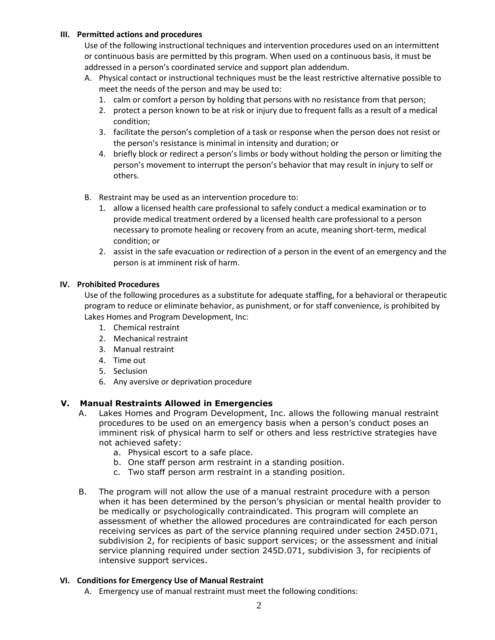### **III. Permitted actions and procedures**

Use of the following instructional techniques and intervention procedures used on an intermittent or continuous basis are permitted by this program. When used on a continuous basis, it must be addressed in a person's coordinated service and support plan addendum.

- A. Physical contact or instructional techniques must be the least restrictive alternative possible to meet the needs of the person and may be used to:
	- 1. calm or comfort a person by holding that persons with no resistance from that person;
	- 2. protect a person known to be at risk or injury due to frequent falls as a result of a medical condition;
	- 3. facilitate the person's completion of a task or response when the person does not resist or the person's resistance is minimal in intensity and duration; or
	- 4. briefly block or redirect a person's limbs or body without holding the person or limiting the person's movement to interrupt the person's behavior that may result in injury to self or others.
- B. Restraint may be used as an intervention procedure to:
	- 1. allow a licensed health care professional to safely conduct a medical examination or to provide medical treatment ordered by a licensed health care professional to a person necessary to promote healing or recovery from an acute, meaning short-term, medical condition; or
	- 2. assist in the safe evacuation or redirection of a person in the event of an emergency and the person is at imminent risk of harm.

### **IV. Prohibited Procedures**

Use of the following procedures as a substitute for adequate staffing, for a behavioral or therapeutic program to reduce or eliminate behavior, as punishment, or for staff convenience, is prohibited by Lakes Homes and Program Development, Inc:

- 1. Chemical restraint
- 2. Mechanical restraint
- 3. Manual restraint
- 4. Time out
- 5. Seclusion
- 6. Any aversive or deprivation procedure

# **V. Manual Restraints Allowed in Emergencies**

- A. Lakes Homes and Program Development, Inc. allows the following manual restraint procedures to be used on an emergency basis when a person's conduct poses an imminent risk of physical harm to self or others and less restrictive strategies have not achieved safety:
	- a. Physical escort to a safe place.
	- b. One staff person arm restraint in a standing position.
	- c. Two staff person arm restraint in a standing position.
- B. The program will not allow the use of a manual restraint procedure with a person when it has been determined by the person's physician or mental health provider to be medically or psychologically contraindicated. This program will complete an assessment of whether the allowed procedures are contraindicated for each person receiving services as part of the service planning required under section 245D.071, subdivision 2, for recipients of basic support services; or the assessment and initial service planning required under section 245D.071, subdivision 3, for recipients of intensive support services.

#### **VI. Conditions for Emergency Use of Manual Restraint**

A. Emergency use of manual restraint must meet the following conditions: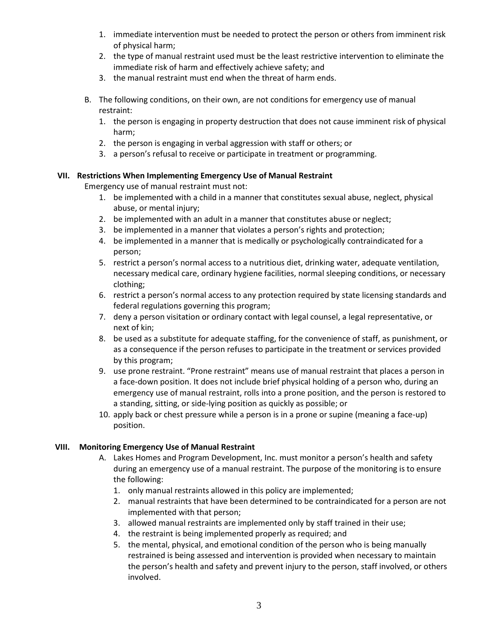- 1. immediate intervention must be needed to protect the person or others from imminent risk of physical harm;
- 2. the type of manual restraint used must be the least restrictive intervention to eliminate the immediate risk of harm and effectively achieve safety; and
- 3. the manual restraint must end when the threat of harm ends.
- B. The following conditions, on their own, are not conditions for emergency use of manual restraint:
	- 1. the person is engaging in property destruction that does not cause imminent risk of physical harm;
	- 2. the person is engaging in verbal aggression with staff or others; or
	- 3. a person's refusal to receive or participate in treatment or programming.

#### **VII. Restrictions When Implementing Emergency Use of Manual Restraint**

Emergency use of manual restraint must not:

- 1. be implemented with a child in a manner that constitutes sexual abuse, neglect, physical abuse, or mental injury;
- 2. be implemented with an adult in a manner that constitutes abuse or neglect;
- 3. be implemented in a manner that violates a person's rights and protection;
- 4. be implemented in a manner that is medically or psychologically contraindicated for a person;
- 5. restrict a person's normal access to a nutritious diet, drinking water, adequate ventilation, necessary medical care, ordinary hygiene facilities, normal sleeping conditions, or necessary clothing;
- 6. restrict a person's normal access to any protection required by state licensing standards and federal regulations governing this program;
- 7. deny a person visitation or ordinary contact with legal counsel, a legal representative, or next of kin;
- 8. be used as a substitute for adequate staffing, for the convenience of staff, as punishment, or as a consequence if the person refuses to participate in the treatment or services provided by this program;
- 9. use prone restraint. "Prone restraint" means use of manual restraint that places a person in a face-down position. It does not include brief physical holding of a person who, during an emergency use of manual restraint, rolls into a prone position, and the person is restored to a standing, sitting, or side-lying position as quickly as possible; or
- 10. apply back or chest pressure while a person is in a prone or supine (meaning a face-up) position.

#### **VIII. Monitoring Emergency Use of Manual Restraint**

- A. Lakes Homes and Program Development, Inc. must monitor a person's health and safety during an emergency use of a manual restraint. The purpose of the monitoring is to ensure the following:
	- 1. only manual restraints allowed in this policy are implemented;
	- 2. manual restraints that have been determined to be contraindicated for a person are not implemented with that person;
	- 3. allowed manual restraints are implemented only by staff trained in their use;
	- 4. the restraint is being implemented properly as required; and
	- 5. the mental, physical, and emotional condition of the person who is being manually restrained is being assessed and intervention is provided when necessary to maintain the person's health and safety and prevent injury to the person, staff involved, or others involved.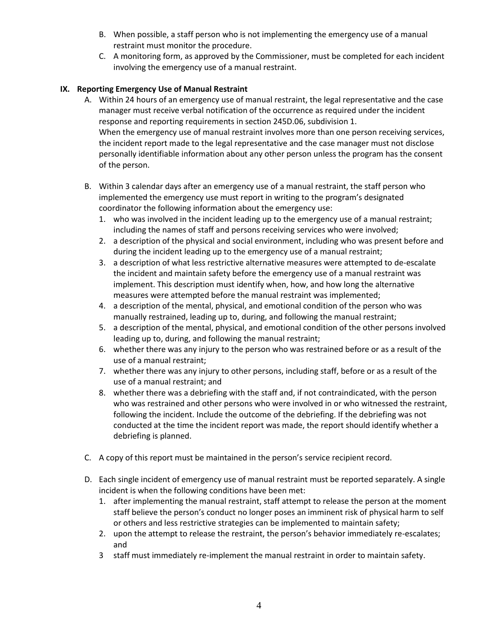- B. When possible, a staff person who is not implementing the emergency use of a manual restraint must monitor the procedure.
- C. A monitoring form, as approved by the Commissioner, must be completed for each incident involving the emergency use of a manual restraint.

# **IX. Reporting Emergency Use of Manual Restraint**

- A. Within 24 hours of an emergency use of manual restraint, the legal representative and the case manager must receive verbal notification of the occurrence as required under the incident response and reporting requirements in section 245D.06, subdivision 1. When the emergency use of manual restraint involves more than one person receiving services, the incident report made to the legal representative and the case manager must not disclose personally identifiable information about any other person unless the program has the consent of the person.
- B. Within 3 calendar days after an emergency use of a manual restraint, the staff person who implemented the emergency use must report in writing to the program's designated coordinator the following information about the emergency use:
	- 1. who was involved in the incident leading up to the emergency use of a manual restraint; including the names of staff and persons receiving services who were involved;
	- 2. a description of the physical and social environment, including who was present before and during the incident leading up to the emergency use of a manual restraint;
	- 3. a description of what less restrictive alternative measures were attempted to de-escalate the incident and maintain safety before the emergency use of a manual restraint was implement. This description must identify when, how, and how long the alternative measures were attempted before the manual restraint was implemented;
	- 4. a description of the mental, physical, and emotional condition of the person who was manually restrained, leading up to, during, and following the manual restraint;
	- 5. a description of the mental, physical, and emotional condition of the other persons involved leading up to, during, and following the manual restraint;
	- 6. whether there was any injury to the person who was restrained before or as a result of the use of a manual restraint;
	- 7. whether there was any injury to other persons, including staff, before or as a result of the use of a manual restraint; and
	- 8. whether there was a debriefing with the staff and, if not contraindicated, with the person who was restrained and other persons who were involved in or who witnessed the restraint, following the incident. Include the outcome of the debriefing. If the debriefing was not conducted at the time the incident report was made, the report should identify whether a debriefing is planned.
- C. A copy of this report must be maintained in the person's service recipient record.
- D. Each single incident of emergency use of manual restraint must be reported separately. A single incident is when the following conditions have been met:
	- 1. after implementing the manual restraint, staff attempt to release the person at the moment staff believe the person's conduct no longer poses an imminent risk of physical harm to self or others and less restrictive strategies can be implemented to maintain safety;
	- 2. upon the attempt to release the restraint, the person's behavior immediately re-escalates; and
	- 3 staff must immediately re-implement the manual restraint in order to maintain safety.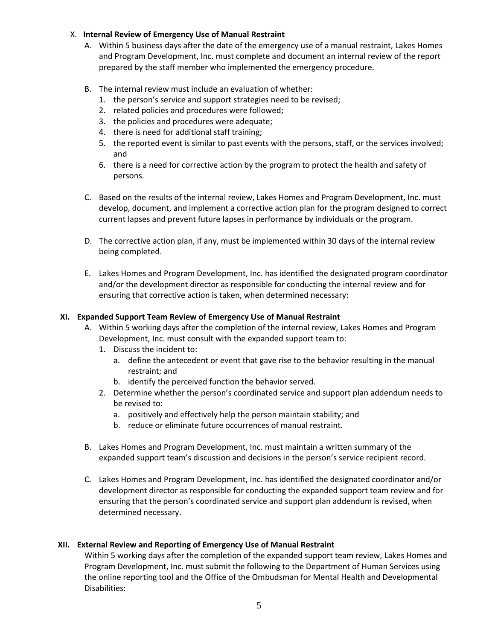### X. **Internal Review of Emergency Use of Manual Restraint**

- A. Within 5 business days after the date of the emergency use of a manual restraint, Lakes Homes and Program Development, Inc. must complete and document an internal review of the report prepared by the staff member who implemented the emergency procedure.
- B. The internal review must include an evaluation of whether:
	- 1. the person's service and support strategies need to be revised;
	- 2. related policies and procedures were followed;
	- 3. the policies and procedures were adequate;
	- 4. there is need for additional staff training;
	- 5. the reported event is similar to past events with the persons, staff, or the services involved; and
	- 6. there is a need for corrective action by the program to protect the health and safety of persons.
- C. Based on the results of the internal review, Lakes Homes and Program Development, Inc. must develop, document, and implement a corrective action plan for the program designed to correct current lapses and prevent future lapses in performance by individuals or the program.
- D. The corrective action plan, if any, must be implemented within 30 days of the internal review being completed.
- E. Lakes Homes and Program Development, Inc. has identified the designated program coordinator and/or the development director as responsible for conducting the internal review and for ensuring that corrective action is taken, when determined necessary:

### **XI. Expanded Support Team Review of Emergency Use of Manual Restraint**

- A. Within 5 working days after the completion of the internal review, Lakes Homes and Program Development, Inc. must consult with the expanded support team to:
	- 1. Discuss the incident to:
		- a. define the antecedent or event that gave rise to the behavior resulting in the manual restraint; and
		- b. identify the perceived function the behavior served.
	- 2. Determine whether the person's coordinated service and support plan addendum needs to be revised to:
		- a. positively and effectively help the person maintain stability; and
		- b. reduce or eliminate future occurrences of manual restraint.
- B. Lakes Homes and Program Development, Inc. must maintain a written summary of the expanded support team's discussion and decisions in the person's service recipient record.
- C. Lakes Homes and Program Development, Inc. has identified the designated coordinator and/or development director as responsible for conducting the expanded support team review and for ensuring that the person's coordinated service and support plan addendum is revised, when determined necessary.

# **XII. External Review and Reporting of Emergency Use of Manual Restraint**

Within 5 working days after the completion of the expanded support team review, Lakes Homes and Program Development, Inc. must submit the following to the Department of Human Services using the online reporting tool and the Office of the Ombudsman for Mental Health and Developmental Disabilities: